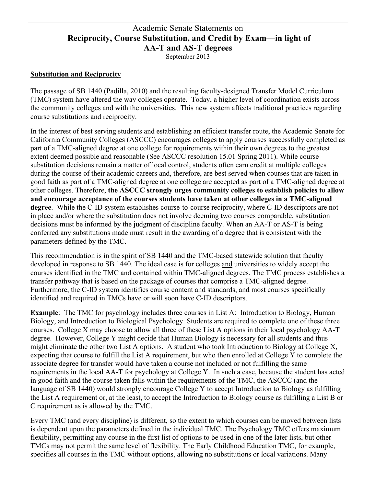# Academic Senate Statements on **Reciprocity, Course Substitution, and Credit by Exam—in light of AA-T and AS-T degrees**

September 2013

#### **Substitution and Reciprocity**

The passage of SB 1440 (Padilla, 2010) and the resulting faculty-designed Transfer Model Curriculum (TMC) system have altered the way colleges operate. Today, a higher level of coordination exists across the community colleges and with the universities. This new system affects traditional practices regarding course substitutions and reciprocity.

In the interest of best serving students and establishing an efficient transfer route, the Academic Senate for California Community Colleges (ASCCC) encourages colleges to apply courses successfully completed as part of a TMC-aligned degree at one college for requirements within their own degrees to the greatest extent deemed possible and reasonable (See ASCCC resolution 15.01 Spring 2011). While course substitution decisions remain a matter of local control, students often earn credit at multiple colleges during the course of their academic careers and, therefore, are best served when courses that are taken in good faith as part of a TMC-aligned degree at one college are accepted as part of a TMC-aligned degree at other colleges. Therefore, **the ASCCC strongly urges community colleges to establish policies to allow and encourage acceptance of the courses students have taken at other colleges in a TMC-aligned degree**. While the C-ID system establishes course-to-course reciprocity, where C-ID descriptors are not in place and/or where the substitution does not involve deeming two courses comparable, substitution decisions must be informed by the judgment of discipline faculty. When an AA-T or AS-T is being conferred any substitutions made must result in the awarding of a degree that is consistent with the parameters defined by the TMC.

This recommendation is in the spirit of SB 1440 and the TMC-based statewide solution that faculty developed in response to SB 1440. The ideal case is for colleges and universities to widely accept the courses identified in the TMC and contained within TMC-aligned degrees. The TMC process establishes a transfer pathway that is based on the package of courses that comprise a TMC-aligned degree. Furthermore, the C-ID system identifies course content and standards, and most courses specifically identified and required in TMCs have or will soon have C-ID descriptors.

**Example**: The TMC for psychology includes three courses in List A: Introduction to Biology, Human Biology, and Introduction to Biological Psychology. Students are required to complete one of these three courses. College X may choose to allow all three of these List A options in their local psychology AA-T degree. However, College Y might decide that Human Biology is necessary for all students and thus might eliminate the other two List A options. A student who took Introduction to Biology at College X, expecting that course to fulfill the List A requirement, but who then enrolled at College Y to complete the associate degree for transfer would have taken a course not included or not fulfilling the same requirements in the local AA-T for psychology at College Y. In such a case, because the student has acted in good faith and the course taken falls within the requirements of the TMC, the ASCCC (and the language of SB 1440) would strongly encourage College Y to accept Introduction to Biology as fulfilling the List A requirement or, at the least, to accept the Introduction to Biology course as fulfilling a List B or C requirement as is allowed by the TMC.

Every TMC (and every discipline) is different, so the extent to which courses can be moved between lists is dependent upon the parameters defined in the individual TMC. The Psychology TMC offers maximum flexibility, permitting any course in the first list of options to be used in one of the later lists, but other TMCs may not permit the same level of flexibility. The Early Childhood Education TMC, for example, specifies all courses in the TMC without options, allowing no substitutions or local variations. Many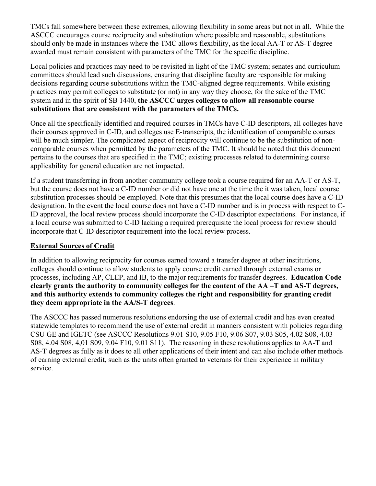TMCs fall somewhere between these extremes, allowing flexibility in some areas but not in all. While the ASCCC encourages course reciprocity and substitution where possible and reasonable, substitutions should only be made in instances where the TMC allows flexibility, as the local AA-T or AS-T degree awarded must remain consistent with parameters of the TMC for the specific discipline.

Local policies and practices may need to be revisited in light of the TMC system; senates and curriculum committees should lead such discussions, ensuring that discipline faculty are responsible for making decisions regarding course substitutions within the TMC-aligned degree requirements. While existing practices may permit colleges to substitute (or not) in any way they choose, for the sake of the TMC system and in the spirit of SB 1440, **the ASCCC urges colleges to allow all reasonable course substitutions that are consistent with the parameters of the TMCs.**

Once all the specifically identified and required courses in TMCs have C-ID descriptors, all colleges have their courses approved in C-ID, and colleges use E-transcripts, the identification of comparable courses will be much simpler. The complicated aspect of reciprocity will continue to be the substitution of noncomparable courses when permitted by the parameters of the TMC. It should be noted that this document pertains to the courses that are specified in the TMC; existing processes related to determining course applicability for general education are not impacted.

If a student transferring in from another community college took a course required for an AA-T or AS-T, but the course does not have a C-ID number or did not have one at the time the it was taken, local course substitution processes should be employed. Note that this presumes that the local course does have a C-ID designation. In the event the local course does not have a C-ID number and is in process with respect to C-ID approval, the local review process should incorporate the C-ID descriptor expectations. For instance, if a local course was submitted to C-ID lacking a required prerequisite the local process for review should incorporate that C-ID descriptor requirement into the local review process.

# **External Sources of Credit**

In addition to allowing reciprocity for courses earned toward a transfer degree at other institutions, colleges should continue to allow students to apply course credit earned through external exams or processes, including AP, CLEP, and IB, to the major requirements for transfer degrees. **Education Code clearly grants the authority to community colleges for the content of the AA –T and AS-T degrees, and this authority extends to community colleges the right and responsibility for granting credit they deem appropriate in the AA/S-T degrees**.

The ASCCC has passed numerous resolutions endorsing the use of external credit and has even created statewide templates to recommend the use of external credit in manners consistent with policies regarding CSU GE and IGETC (see ASCCC Resolutions 9.01 S10, 9.05 F10, 9.06 S07, 9.03 S05, 4.02 S08, 4.03 S08, 4.04 S08, 4,01 S09, 9.04 F10, 9.01 S11). The reasoning in these resolutions applies to AA-T and AS-T degrees as fully as it does to all other applications of their intent and can also include other methods of earning external credit, such as the units often granted to veterans for their experience in military service.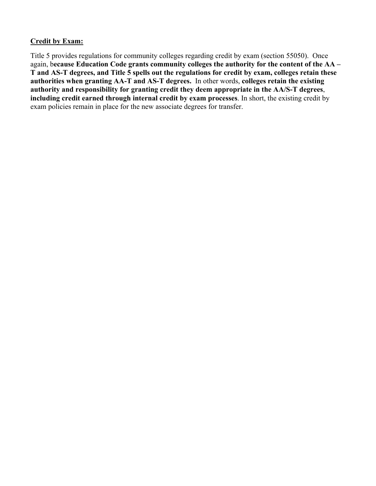#### **Credit by Exam:**

Title 5 provides regulations for community colleges regarding credit by exam (section 55050). Once again, b**ecause Education Code grants community colleges the authority for the content of the AA – T and AS-T degrees, and Title 5 spells out the regulations for credit by exam, colleges retain these authorities when granting AA-T and AS-T degrees.** In other words, **colleges retain the existing authority and responsibility for granting credit they deem appropriate in the AA/S-T degrees**, **including credit earned through internal credit by exam processes**. In short, the existing credit by exam policies remain in place for the new associate degrees for transfer.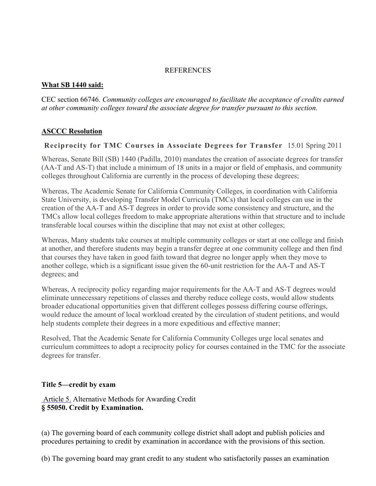#### REFERENCES

#### **What SB 1440 said:**

CEC section 66746. *Community colleges are encouraged to facilitate the acceptance of credits earned at other community colleges toward the associate degree for transfer pursuant to this section.*

# **ASCCC Resolution**

# **Reciprocity for TMC Courses in Associate Degrees for Transfer** 15.01 Spring 2011

Whereas, Senate Bill (SB) 1440 (Padilla, 2010) mandates the creation of associate degrees for transfer (AA-T and AS-T) that include a minimum of 18 units in a major or field of emphasis, and community colleges throughout California are currently in the process of developing these degrees;

Whereas, The Academic Senate for California Community Colleges, in coordination with California State University, is developing Transfer Model Curricula (TMCs) that local colleges can use in the creation of the AA-T and AS-T degrees in order to provide some consistency and structure, and the TMCs allow local colleges freedom to make appropriate alterations within that structure and to include transferable local courses within the discipline that may not exist at other colleges;

Whereas, Many students take courses at multiple community colleges or start at one college and finish at another, and therefore students may begin a transfer degree at one community college and then find that courses they have taken in good faith toward that degree no longer apply when they move to another college, which is a significant issue given the 60-unit restriction for the AA-T and AS-T degrees; and

Whereas, A reciprocity policy regarding major requirements for the AA-T and AS-T degrees would eliminate unnecessary repetitions of classes and thereby reduce college costs, would allow students broader educational opportunities given that different colleges possess differing course offerings, would reduce the amount of local workload created by the circulation of student petitions, and would help students complete their degrees in a more expeditious and effective manner;

Resolved, That the Academic Senate for California Community Colleges urge local senates and curriculum committees to adopt a reciprocity policy for courses contained in the TMC for the associate degrees for transfer.

### **Title 5—credit by exam**

 Article 5. Alternative Methods for Awarding Credit **§ 55050. Credit by Examination.**

(a) The governing board of each community college district shall adopt and publish policies and procedures pertaining to credit by examination in accordance with the provisions of this section.

(b) The governing board may grant credit to any student who satisfactorily passes an examination